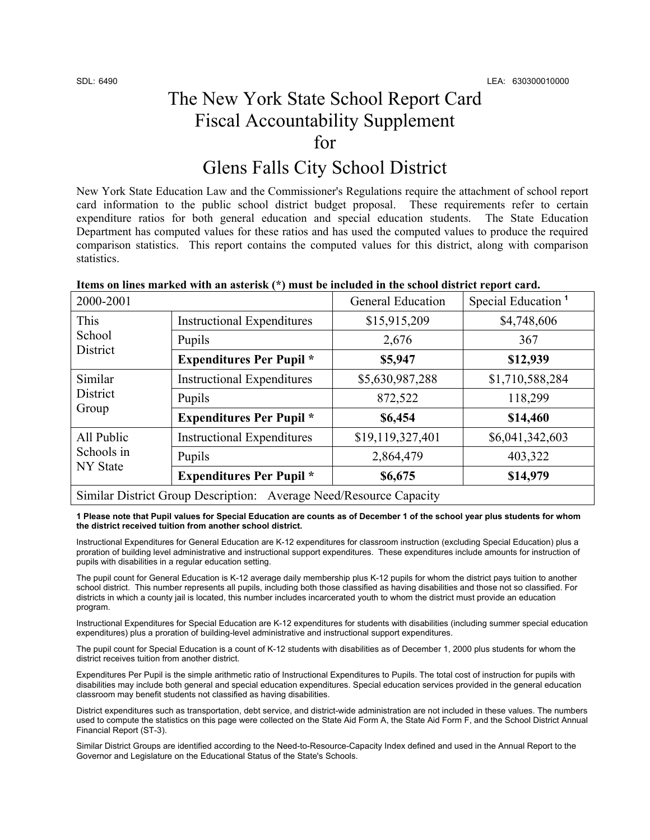## The New York State School Report Card Fiscal Accountability Supplement for

## Glens Falls City School District

New York State Education Law and the Commissioner's Regulations require the attachment of school report card information to the public school district budget proposal. These requirements refer to certain expenditure ratios for both general education and special education students. The State Education Department has computed values for these ratios and has used the computed values to produce the required comparison statistics. This report contains the computed values for this district, along with comparison statistics.

| 2000-2001                                                          |                                   | <b>General Education</b> | Special Education <sup>1</sup> |  |
|--------------------------------------------------------------------|-----------------------------------|--------------------------|--------------------------------|--|
| This<br>School<br><b>District</b>                                  | <b>Instructional Expenditures</b> | \$15,915,209             | \$4,748,606                    |  |
|                                                                    | Pupils                            | 2,676                    | 367                            |  |
|                                                                    | <b>Expenditures Per Pupil</b> *   | \$5,947                  | \$12,939                       |  |
| Similar<br><b>District</b><br>Group                                | <b>Instructional Expenditures</b> | \$5,630,987,288          | \$1,710,588,284                |  |
|                                                                    | Pupils                            | 872,522                  | 118,299                        |  |
|                                                                    | <b>Expenditures Per Pupil *</b>   | \$6,454                  | \$14,460                       |  |
| All Public<br>Schools in<br><b>NY</b> State                        | <b>Instructional Expenditures</b> | \$19,119,327,401         | \$6,041,342,603                |  |
|                                                                    | Pupils                            | 2,864,479                | 403,322                        |  |
|                                                                    | <b>Expenditures Per Pupil</b> *   | \$6,675                  | \$14,979                       |  |
| Similar District Group Description: Average Need/Resource Capacity |                                   |                          |                                |  |

### **Items on lines marked with an asterisk (\*) must be included in the school district report card.**

**1 Please note that Pupil values for Special Education are counts as of December 1 of the school year plus students for whom the district received tuition from another school district.** 

Instructional Expenditures for General Education are K-12 expenditures for classroom instruction (excluding Special Education) plus a proration of building level administrative and instructional support expenditures. These expenditures include amounts for instruction of pupils with disabilities in a regular education setting.

The pupil count for General Education is K-12 average daily membership plus K-12 pupils for whom the district pays tuition to another school district. This number represents all pupils, including both those classified as having disabilities and those not so classified. For districts in which a county jail is located, this number includes incarcerated youth to whom the district must provide an education program.

Instructional Expenditures for Special Education are K-12 expenditures for students with disabilities (including summer special education expenditures) plus a proration of building-level administrative and instructional support expenditures.

The pupil count for Special Education is a count of K-12 students with disabilities as of December 1, 2000 plus students for whom the district receives tuition from another district.

Expenditures Per Pupil is the simple arithmetic ratio of Instructional Expenditures to Pupils. The total cost of instruction for pupils with disabilities may include both general and special education expenditures. Special education services provided in the general education classroom may benefit students not classified as having disabilities.

District expenditures such as transportation, debt service, and district-wide administration are not included in these values. The numbers used to compute the statistics on this page were collected on the State Aid Form A, the State Aid Form F, and the School District Annual Financial Report (ST-3).

Similar District Groups are identified according to the Need-to-Resource-Capacity Index defined and used in the Annual Report to the Governor and Legislature on the Educational Status of the State's Schools.